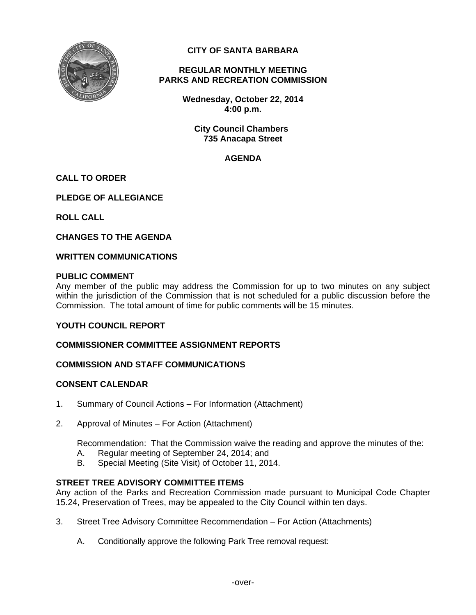

**CITY OF SANTA BARBARA** 

# **REGULAR MONTHLY MEETING PARKS AND RECREATION COMMISSION**

**Wednesday, October 22, 2014 4:00 p.m.** 

**City Council Chambers 735 Anacapa Street** 

# **AGENDA**

# **CALL TO ORDER**

**PLEDGE OF ALLEGIANCE** 

**ROLL CALL** 

**CHANGES TO THE AGENDA** 

#### **WRITTEN COMMUNICATIONS**

#### **PUBLIC COMMENT**

Any member of the public may address the Commission for up to two minutes on any subject within the jurisdiction of the Commission that is not scheduled for a public discussion before the Commission. The total amount of time for public comments will be 15 minutes.

## **YOUTH COUNCIL REPORT**

## **COMMISSIONER COMMITTEE ASSIGNMENT REPORTS**

## **COMMISSION AND STAFF COMMUNICATIONS**

## **CONSENT CALENDAR**

- 1. Summary of Council Actions For Information (Attachment)
- 2. Approval of Minutes For Action (Attachment)

Recommendation: That the Commission waive the reading and approve the minutes of the:

- A. Regular meeting of September 24, 2014; and
- B. Special Meeting (Site Visit) of October 11, 2014.

## **STREET TREE ADVISORY COMMITTEE ITEMS**

Any action of the Parks and Recreation Commission made pursuant to Municipal Code Chapter 15.24, Preservation of Trees, may be appealed to the City Council within ten days.

- 3. Street Tree Advisory Committee Recommendation For Action (Attachments)
	- A. Conditionally approve the following Park Tree removal request: